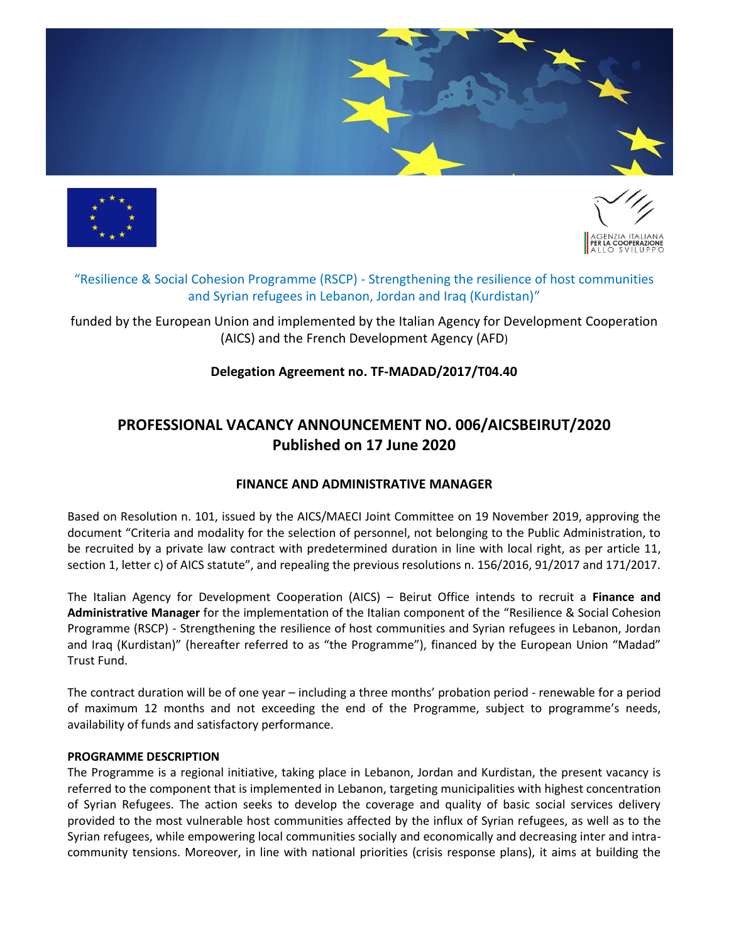





# "Resilience & Social Cohesion Programme (RSCP) - Strengthening the resilience of host communities and Syrian refugees in Lebanon, Jordan and Iraq (Kurdistan)"

funded by the European Union and implemented by the Italian Agency for Development Cooperation (AICS) and the French Development Agency (AFD)

# **Delegation Agreement no. TF-MADAD/2017/T04.40**

# **PROFESSIONAL VACANCY ANNOUNCEMENT NO. 006/AICSBEIRUT/2020 Published on 17 June 2020**

# **FINANCE AND ADMINISTRATIVE MANAGER**

Based on Resolution n. 101, issued by the AICS/MAECI Joint Committee on 19 November 2019, approving the document "Criteria and modality for the selection of personnel, not belonging to the Public Administration, to be recruited by a private law contract with predetermined duration in line with local right, as per article 11, section 1, letter c) of AICS statute", and repealing the previous resolutions n. 156/2016, 91/2017 and 171/2017.

The Italian Agency for Development Cooperation (AICS) – Beirut Office intends to recruit a **Finance and Administrative Manager** for the implementation of the Italian component of the "Resilience & Social Cohesion Programme (RSCP) - Strengthening the resilience of host communities and Syrian refugees in Lebanon, Jordan and Iraq (Kurdistan)" (hereafter referred to as "the Programme"), financed by the European Union "Madad" Trust Fund.

The contract duration will be of one year – including a three months' probation period - renewable for a period of maximum 12 months and not exceeding the end of the Programme, subject to programme's needs, availability of funds and satisfactory performance.

#### **PROGRAMME DESCRIPTION**

The Programme is a regional initiative, taking place in Lebanon, Jordan and Kurdistan, the present vacancy is referred to the component that is implemented in Lebanon, targeting municipalities with highest concentration of Syrian Refugees. The action seeks to develop the coverage and quality of basic social services delivery provided to the most vulnerable host communities affected by the influx of Syrian refugees, as well as to the Syrian refugees, while empowering local communities socially and economically and decreasing inter and intracommunity tensions. Moreover, in line with national priorities (crisis response plans), it aims at building the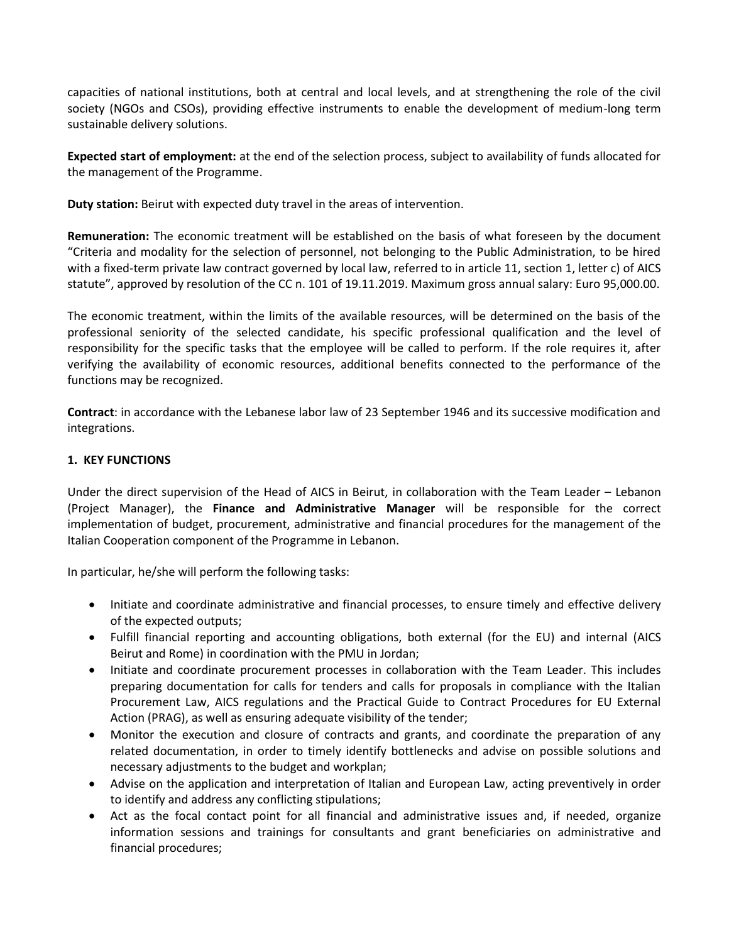capacities of national institutions, both at central and local levels, and at strengthening the role of the civil society (NGOs and CSOs), providing effective instruments to enable the development of medium-long term sustainable delivery solutions.

**Expected start of employment:** at the end of the selection process, subject to availability of funds allocated for the management of the Programme.

**Duty station:** Beirut with expected duty travel in the areas of intervention.

**Remuneration:** The economic treatment will be established on the basis of what foreseen by the document "Criteria and modality for the selection of personnel, not belonging to the Public Administration, to be hired with a fixed-term private law contract governed by local law, referred to in article 11, section 1, letter c) of AICS statute", approved by resolution of the CC n. 101 of 19.11.2019. Maximum gross annual salary: Euro 95,000.00.

The economic treatment, within the limits of the available resources, will be determined on the basis of the professional seniority of the selected candidate, his specific professional qualification and the level of responsibility for the specific tasks that the employee will be called to perform. If the role requires it, after verifying the availability of economic resources, additional benefits connected to the performance of the functions may be recognized.

**Contract**: in accordance with the Lebanese labor law of 23 September 1946 and its successive modification and integrations.

## **1. KEY FUNCTIONS**

Under the direct supervision of the Head of AICS in Beirut, in collaboration with the Team Leader – Lebanon (Project Manager), the **Finance and Administrative Manager** will be responsible for the correct implementation of budget, procurement, administrative and financial procedures for the management of the Italian Cooperation component of the Programme in Lebanon.

In particular, he/she will perform the following tasks:

- Initiate and coordinate administrative and financial processes, to ensure timely and effective delivery of the expected outputs;
- Fulfill financial reporting and accounting obligations, both external (for the EU) and internal (AICS Beirut and Rome) in coordination with the PMU in Jordan;
- Initiate and coordinate procurement processes in collaboration with the Team Leader. This includes preparing documentation for calls for tenders and calls for proposals in compliance with the Italian Procurement Law, AICS regulations and the Practical Guide to Contract Procedures for EU External Action (PRAG), as well as ensuring adequate visibility of the tender;
- Monitor the execution and closure of contracts and grants, and coordinate the preparation of any related documentation, in order to timely identify bottlenecks and advise on possible solutions and necessary adjustments to the budget and workplan;
- Advise on the application and interpretation of Italian and European Law, acting preventively in order to identify and address any conflicting stipulations;
- Act as the focal contact point for all financial and administrative issues and, if needed, organize information sessions and trainings for consultants and grant beneficiaries on administrative and financial procedures;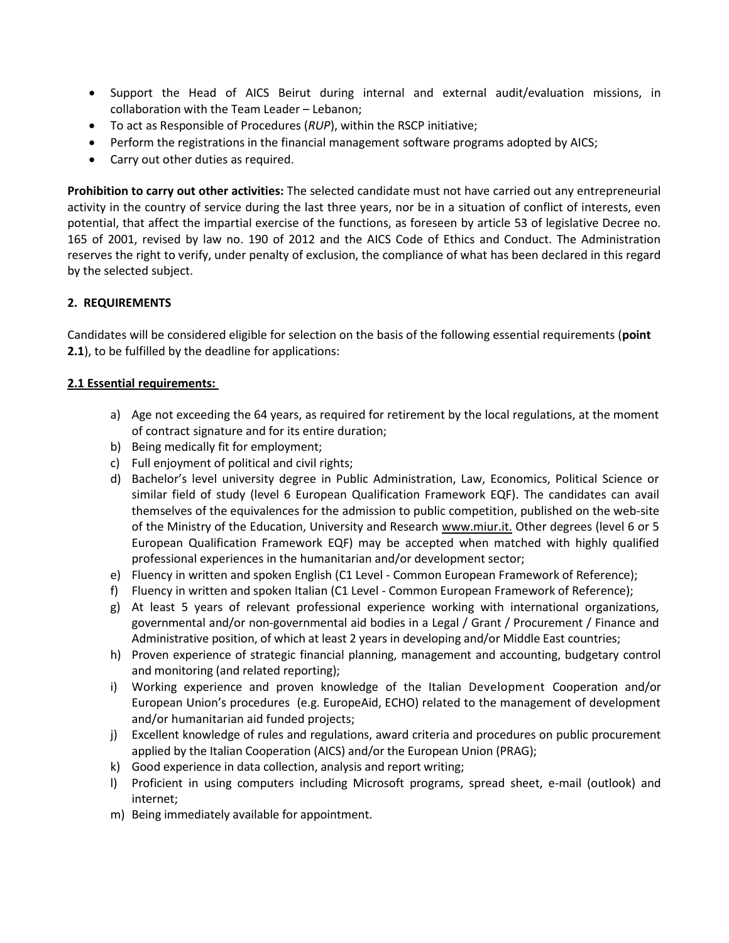- Support the Head of AICS Beirut during internal and external audit/evaluation missions, in collaboration with the Team Leader – Lebanon;
- To act as Responsible of Procedures (*RUP*), within the RSCP initiative;
- Perform the registrations in the financial management software programs adopted by AICS;
- Carry out other duties as required.

**Prohibition to carry out other activities:** The selected candidate must not have carried out any entrepreneurial activity in the country of service during the last three years, nor be in a situation of conflict of interests, even potential, that affect the impartial exercise of the functions, as foreseen by article 53 of legislative Decree no. 165 of 2001, revised by law no. 190 of 2012 and the AICS Code of Ethics and Conduct. The Administration reserves the right to verify, under penalty of exclusion, the compliance of what has been declared in this regard by the selected subject.

## **2. REQUIREMENTS**

Candidates will be considered eligible for selection on the basis of the following essential requirements (**point 2.1**), to be fulfilled by the deadline for applications:

#### **2.1 Essential requirements:**

- a) Age not exceeding the 64 years, as required for retirement by the local regulations, at the moment of contract signature and for its entire duration;
- b) Being medically fit for employment;
- c) Full enjoyment of political and civil rights;
- d) Bachelor's level university degree in Public Administration, Law, Economics, Political Science or similar field of study (level 6 European Qualification Framework EQF). The candidates can avail themselves of the equivalences for the admission to public competition, published on the web-site of the Ministry of the Education, University and Research [www.miur.it.](http://www.miur.it/) Other degrees (level 6 or 5 European Qualification Framework EQF) may be accepted when matched with highly qualified professional experiences in the humanitarian and/or development sector;
- e) Fluency in written and spoken English (C1 Level Common European Framework of Reference);
- f) Fluency in written and spoken Italian (C1 Level Common European Framework of Reference);
- g) At least 5 years of relevant professional experience working with international organizations, governmental and/or non-governmental aid bodies in a Legal / Grant / Procurement / Finance and Administrative position, of which at least 2 years in developing and/or Middle East countries;
- h) Proven experience of strategic financial planning, management and accounting, budgetary control and monitoring (and related reporting);
- i) Working experience and proven knowledge of the Italian Development Cooperation and/or European Union's procedures (e.g. EuropeAid, ECHO) related to the management of development and/or humanitarian aid funded projects;
- j) Excellent knowledge of rules and regulations, award criteria and procedures on public procurement applied by the Italian Cooperation (AICS) and/or the European Union (PRAG);
- k) Good experience in data collection, analysis and report writing;
- l) Proficient in using computers including Microsoft programs, spread sheet, e-mail (outlook) and internet;
- m) Being immediately available for appointment.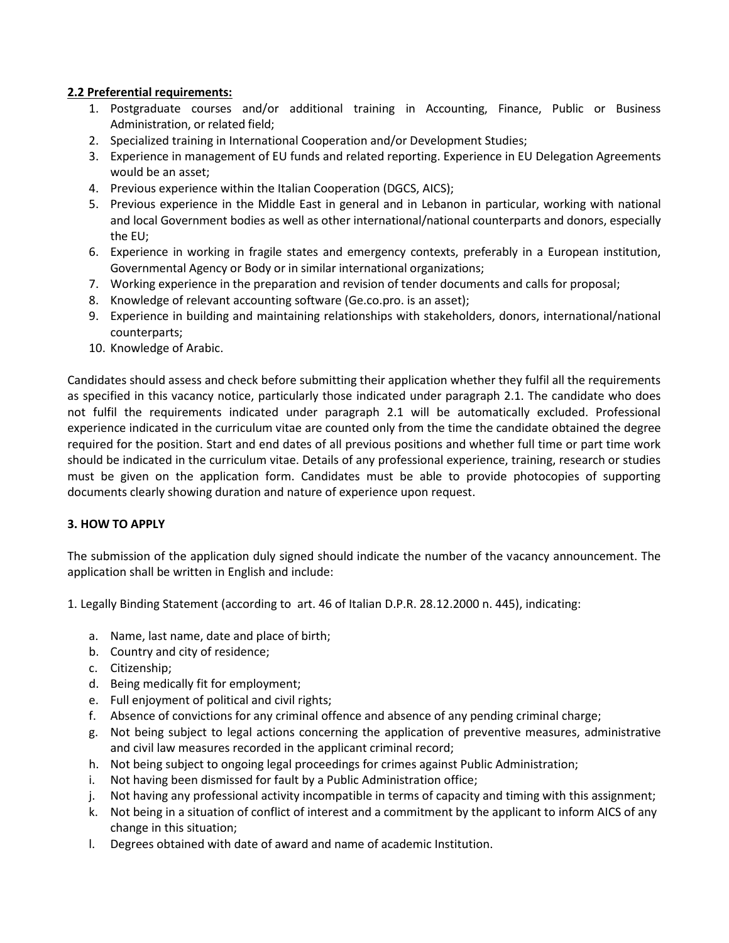## **2.2 Preferential requirements:**

- 1. Postgraduate courses and/or additional training in Accounting, Finance, Public or Business Administration, or related field;
- 2. Specialized training in International Cooperation and/or Development Studies;
- 3. Experience in management of EU funds and related reporting. Experience in EU Delegation Agreements would be an asset;
- 4. Previous experience within the Italian Cooperation (DGCS, AICS);
- 5. Previous experience in the Middle East in general and in Lebanon in particular, working with national and local Government bodies as well as other international/national counterparts and donors, especially the EU;
- 6. Experience in working in fragile states and emergency contexts, preferably in a European institution, Governmental Agency or Body or in similar international organizations;
- 7. Working experience in the preparation and revision of tender documents and calls for proposal;
- 8. Knowledge of relevant accounting software (Ge.co.pro. is an asset);
- 9. Experience in building and maintaining relationships with stakeholders, donors, international/national counterparts;
- 10. Knowledge of Arabic.

Candidates should assess and check before submitting their application whether they fulfil all the requirements as specified in this vacancy notice, particularly those indicated under paragraph 2.1. The candidate who does not fulfil the requirements indicated under paragraph 2.1 will be automatically excluded. Professional experience indicated in the curriculum vitae are counted only from the time the candidate obtained the degree required for the position. Start and end dates of all previous positions and whether full time or part time work should be indicated in the curriculum vitae. Details of any professional experience, training, research or studies must be given on the application form. Candidates must be able to provide photocopies of supporting documents clearly showing duration and nature of experience upon request.

#### **3. HOW TO APPLY**

The submission of the application duly signed should indicate the number of the vacancy announcement. The application shall be written in English and include:

1. Legally Binding Statement (according to art. 46 of Italian D.P.R. 28.12.2000 n. 445), indicating:

- a. Name, last name, date and place of birth;
- b. Country and city of residence;
- c. Citizenship;
- d. Being medically fit for employment;
- e. Full enjoyment of political and civil rights;
- f. Absence of convictions for any criminal offence and absence of any pending criminal charge;
- g. Not being subject to legal actions concerning the application of preventive measures, administrative and civil law measures recorded in the applicant criminal record;
- h. Not being subject to ongoing legal proceedings for crimes against Public Administration;
- i. Not having been dismissed for fault by a Public Administration office;
- j. Not having any professional activity incompatible in terms of capacity and timing with this assignment;
- k. Not being in a situation of conflict of interest and a commitment by the applicant to inform AICS of any change in this situation;
- l. Degrees obtained with date of award and name of academic Institution.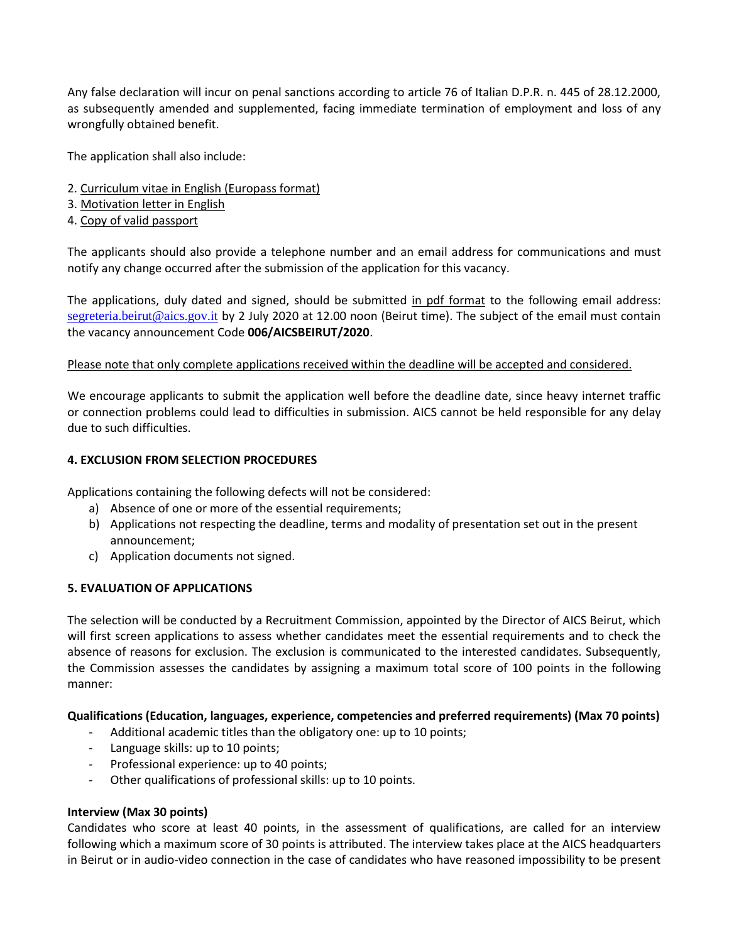Any false declaration will incur on penal sanctions according to article 76 of Italian D.P.R. n. 445 of 28.12.2000, as subsequently amended and supplemented, facing immediate termination of employment and loss of any wrongfully obtained benefit.

The application shall also include:

- 2. Curriculum vitae in English (Europass format)
- 3. Motivation letter in English
- 4. Copy of valid passport

The applicants should also provide a telephone number and an email address for communications and must notify any change occurred after the submission of the application for this vacancy.

The applications, duly dated and signed, should be submitted in pdf format to the following email address: [segreteria.beirut@aics.gov.it](mailto:segreteria.beirut@aics.gov.it) by 2 July 2020 at 12.00 noon (Beirut time). The subject of the email must contain the vacancy announcement Code **006/AICSBEIRUT/2020**.

#### Please note that only complete applications received within the deadline will be accepted and considered.

We encourage applicants to submit the application well before the deadline date, since heavy internet traffic or connection problems could lead to difficulties in submission. AICS cannot be held responsible for any delay due to such difficulties.

#### **4. EXCLUSION FROM SELECTION PROCEDURES**

Applications containing the following defects will not be considered:

- a) Absence of one or more of the essential requirements;
- b) Applications not respecting the deadline, terms and modality of presentation set out in the present announcement;
- c) Application documents not signed.

#### **5. EVALUATION OF APPLICATIONS**

The selection will be conducted by a Recruitment Commission, appointed by the Director of AICS Beirut, which will first screen applications to assess whether candidates meet the essential requirements and to check the absence of reasons for exclusion. The exclusion is communicated to the interested candidates. Subsequently, the Commission assesses the candidates by assigning a maximum total score of 100 points in the following manner:

#### **Qualifications (Education, languages, experience, competencies and preferred requirements) (Max 70 points)**

- Additional academic titles than the obligatory one: up to 10 points;
- Language skills: up to 10 points;
- Professional experience: up to 40 points;
- Other qualifications of professional skills: up to 10 points.

#### **Interview (Max 30 points)**

Candidates who score at least 40 points, in the assessment of qualifications, are called for an interview following which a maximum score of 30 points is attributed. The interview takes place at the AICS headquarters in Beirut or in audio-video connection in the case of candidates who have reasoned impossibility to be present